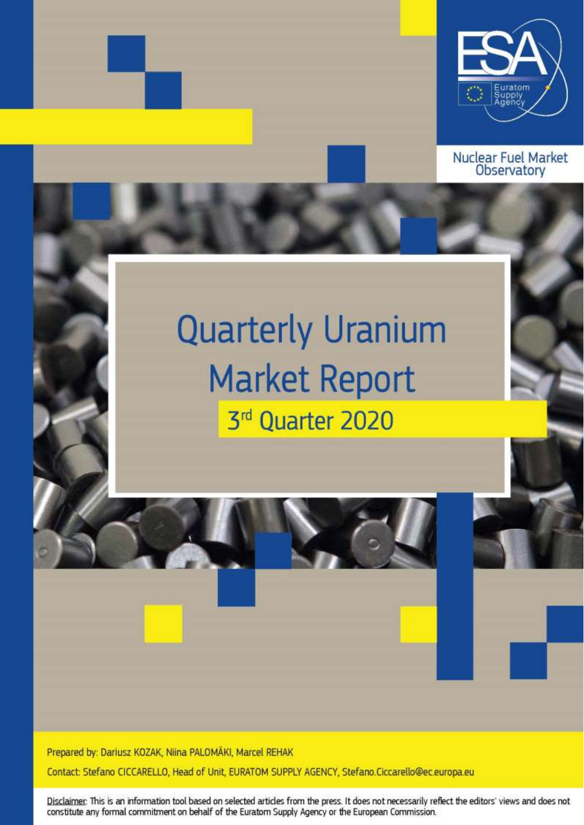

**Nuclear Fuel Market Observatory** 

# **Quarterly Uranium Market Report** 3rd Quarter 2020

Prepared by: Dariusz KOZAK, Niina PALOMĀKI, Marcel REHAK

Contact: Stefano CICCARELLO, Head of Unit, EURATOM SUPPLY AGENCY, Stefano.Ciccarello@ec.europa.eu

Disclaimer: This is an information tool based on selected articles from the press. It does not necessarily reflect the editors' views and does not constitute any formal commitment on behalf of the Euratom Supply Agency or the European Commission.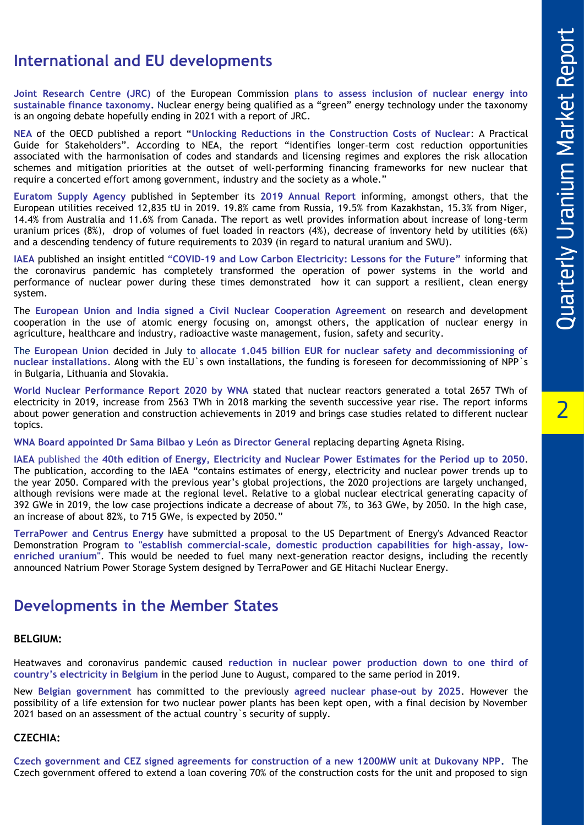# **International and EU developments**

**Joint Research Centre (JRC)** of the European Commission **plans to assess inclusion of nuclear energy into**  sustainable finance taxonomy. Nuclear energy being qualified as a "green" energy technology under the taxonomy is an ongoing debate hopefully ending in 2021 with a report of JRC.

**NEA** of the OECD published a report "**Unlocking Reductions in the Construction Costs of Nuclear**: A Practical Guide for Stakeholders". According to NEA, the report "identifies longer ‑term cost reduction opportunities associated with the harmonisation of codes and standards and licensing regimes and explores the risk allocation schemes and mitigation priorities at the outset of well ‑performing financing frameworks for new nuclear that require a concerted effort among government, industry and the society as a whole."

**Euratom Supply Agency** published in September its **2019 Annual Report** informing, amongst others, that the European utilities received 12,835 tU in 2019. 19.8% came from Russia, 19.5% from Kazakhstan, 15.3% from Niger, 14.4% from Australia and 11.6% from Canada. The report as well provides information about increase of long -term uranium prices (8%), drop of volumes of fuel loaded in reactors (4%), decrease of inventory held by utilities (6%) and a descending tendency of future requirements to 2039 (in regard to natural uranium and SWU).

**IAEA** published an insight entitled "**COVID -19 and Low Carbon Electricity: Lessons for the Future"** informing that the coronavirus pandemic has completely transformed the operation of power systems in the world and performance of nuclear power during these times demonstrated how it can support a resilient, clean energy system.

The **European Union and India signed a Civil Nuclear Cooperation Agreement** on research and development cooperation in the use of atomic energy focusing on, amongst others, the application of nuclear energy in agriculture, healthcare and industry, radioactive waste management, fusion, safety and security .

The **European Union** decided in July to **allocate 1.045 billion EUR for nuclear safety and decommissioning of nuclear installations**. Along with the EU`s own installations, the funding is foreseen for decommissioning of NPP`s in Bulgaria, Lithuania and Slovakia.

**[World Nuclear Performance Report 2020](https://urldefense.com/v3/__http:/WNA.informz.ca/z/cjUucD9taT0xMjE5MTU4JnA9MSZ1PTkxMjkwODkxMSZsaT0yMDA0MTIxMw/index.html__;!!DOxrgLBm!TdtQLVeyyX4NAn1V_MAcV-iPYr3CjGXQedzoWphZ5BrOtmqRVaCdVZNLHI3ONkTm2Tz1RRc-$) by WNA** stated that nuclear reactors generated a total 2657 TWh of electricity in 2019, increase from 2563 TWh in 2018 marking the seventh successive year rise. The report informs about power generation and construction achievements in 2019 and brings case studies related to different nuclear topics.

**WNA Board appointed Dr Sama Bilbao y León as Director General** replacing departing Agneta Rising.

**IAEA** published the **40th edition of Energy, Electricity and Nuclear Power Estimates for the Period up to 2050**. The publication, according to the IAEA "contains estimates of energy, electricity and nuclear power trends up to the year 2050. Compared with the previous year's global projections, the 2020 projections are largely unchanged, although revisions were made at the regional level. Relative to a global nuclear electrical generating capacity of 392 GWe in 2019, the low case projections indicate a decrease of about 7%, to 363 GWe, by 2050. In the high case, an increase of about 82%, to 715 GWe, is expected by 2050."

**TerraPower and Centrus Energy** have submitted a proposal to the US Department of Energy's Advanced Reactor Demonstration Program to "establish commercial-scale, domestic production capabilities for high-assay, low**enriched uranium"**. This would be needed to fuel many next -generation reactor designs, including the recently announced Natrium Power Storage System designed by TerraPower and GE Hitachi Nuclear Energy.

## **Developments in the Member States**

#### **BELGIUM:**

Heatwaves and coronavirus pandemic caused **reduction in nuclear power production down to one third of country's electricity in Belgium** in the period June to August, compared to the same period in 2019.

New **Belgian government** has committed to the previously **agreed nuclear phase -out by 2025**. However the possibility of a life extension for two nuclear power plants has been kept open, with a final decision by November 2021 based on an assessment of the actual country`s security of supply.

#### **CZECHIA:**

**Czech government and CEZ signed agreements for construction of a new 1200MW unit at Dukovany NPP .** The Czech government offered to extend a loan covering 70% of the construction costs for the unit and proposed to sign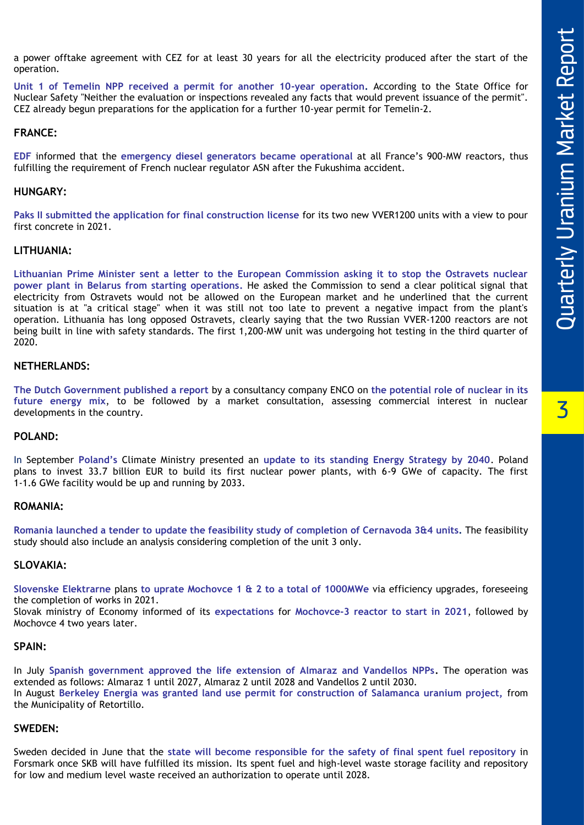a power offtake agreement with CEZ for at least 30 years for all the electricity produced after the start of the operation.

Unit 1 of Temelin NPP received a permit for another 10-year operation. According to the State Office for Nuclear Safety "Neither the evaluation or inspections revealed any facts that would prevent issuance of the permit". CEZ already begun preparations for the application for a further 10 -year permit for Temelin -2.

#### **FRANCE:**

**EDF** informed that the **emergency diesel generators became operational** at all France's 900 -MW reactors, thus fulfilling the requirement of French nuclear regulator ASN after the Fukushima accident.

#### **HUNGARY:**

**Paks II submitted the application for final construction license** for its two new VVER1200 units with a view to pour first concrete in 2021.

#### **LITHUANIA :**

**Lithuanian Prime Minister sent a letter to the European Commission asking it to stop the Ostravets nuclear power plant in Belarus from starting operations.** He asked the Commission to send a clear political signal that electricity from Ostravets would not be allowed on the European market and he underlined that the current situation is at "a critical stage" when it was still not too late to prevent a negative impact from the plant's operation. Lithuania has long opposed Ostravets, clearly saying that the two Russian VVER -1200 reactors are not being built in line with safety standards. The first 1,200 -MW unit was undergoing hot testing in the third quarter of 2020.

#### **NETHERLANDS:**

**The Dutch Government published a report** by a consultancy company ENCO on **the potential role of nuclear in its future energy mix**, to be followed by a market consultation, assessing commercial interest in nuclear developments in the country.

#### **POLAND:**

In September **Poland's** Climate Ministry presented an **update to its standing Energy Strategy by 2040** . Poland plans to invest 33.7 billion EUR to build its first nuclear power plants, with 6 -9 GWe of capacity. The first 1 -1.6 GWe facility would be up and running by 2033.

#### **ROMANIA:**

**Romania launched a tender to update the feasibility study of completion of Cernavoda 3 &4 units.** The feasibility study should also include an analysis considering completion of the unit 3 only.

#### **SLOVAKIA:**

**Slovenske Elektrarne** plans **to uprate Mochovce 1 & 2 to a total of 1000MWe** via efficiency upgrades, foreseeing the completion of works in 2021.

Slovak ministry of Economy informed of its **expectations** for **Mochovce -3 reactor to start in 2021**, followed by Mochovce 4 two years later.

#### **SPAIN:**

In July **Spanish government approved the life extension of Almaraz and Vandellos NPPs.** The operation was extended as follows: Almaraz 1 until 2027, Almaraz 2 until 2028 and Vandellos 2 until 2030. In August **Berkeley Energia was granted land use permit for construction of Salamanca uranium project,** from the Municipality of Retortillo.

#### **SWEDEN:**

Sweden decided in June that the **state will become responsible for the safety of final spent fuel repository** in Forsmark once SKB will have fulfilled its mission. Its spent fuel and high -level waste storage facility and repository for low and medium level waste received an authorization to operate until 2028.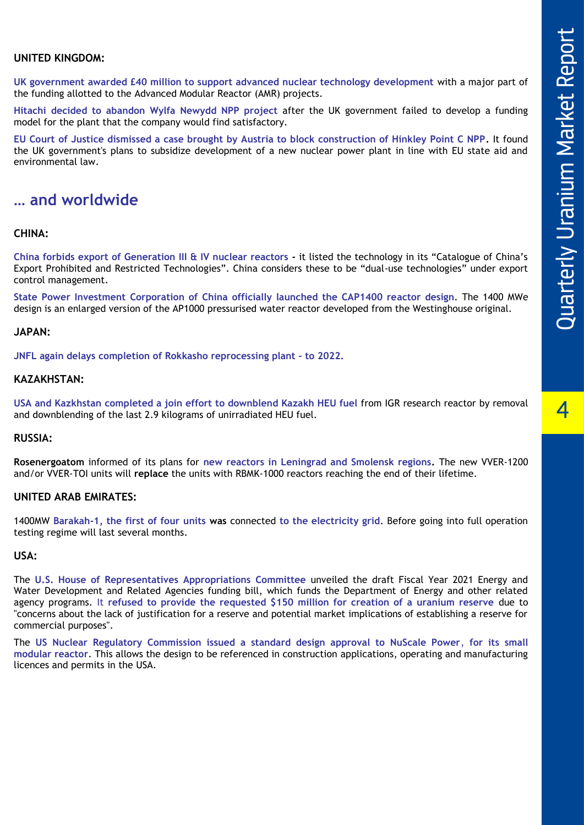$\blacktriangle$ 

#### **UNITED KINGDOM:**

**UK government awarded £40 million to support advanced nuclear technology development** with a major part of the funding allotted to the Advanced Modular Reactor (AMR) projects.

**Hitachi decided to abandon Wylfa Newydd NPP project** after the UK government failed to develop a funding model for the plant that the company would find satisfactory.

**EU Court of Justice dismissed a case brought by Austria to block construction of Hinkley Point C NPP.** It found the UK government's plans to subsidize development of a new nuclear power plant in line with EU state aid and environmental law.

### **… and worldwide**

#### **CHINA:**

**China forbids export of Generation III & IV nuclear reactors -** it listed the technology in its "Catalogue of China's Export Prohibited and Restricted Technologies". China considers these to be "dual -use technologies" under export control management.

**State Power Investment Corporation of China officially launched the CAP1400 reactor design**. The 1400 MWe design is an enlarged version of the AP1000 pressurised water reactor developed from the Westinghouse original.

#### **JAPAN:**

**JNFL again delays completion of Rokkasho reprocessing plant - to 2022.**

#### **KAZAKHSTAN:**

**USA and Kazkhstan completed a join effort to downblend Kazakh HEU fuel** from IGR research reactor by removal and downblending of the last 2.9 kilograms of unirradiated HEU fuel.

#### **RUSSIA:**

**Rosenergoatom** informed of its plans for **new reactors in Leningrad and Smolensk regions.** The new VVER -1200 and/or VVER -TOI units will **replace** the units with RBMK -1000 reactors reaching the end of their lifetime.

#### **UNITED ARAB EMIRATES:**

1400MW **Barakah -1, the first of four units was** connected **to the electricity grid**. Before going into full operation testing regime will last several months.

#### **USA:**

The **U.S. House of Representatives Appropriations Committee** unveiled the draft Fiscal Year 2021 Energy and Water Development and Related Agencies funding bill, which funds the Department of Energy and other related agency programs. It **refused to provide the requested \$150 million for creation of a uranium reserve** due to "concerns about the lack of justification for a reserve and potential market implications of establishing a reserve for commercial purposes".

The **US Nuclear Regulatory Commission issued a standard design approval to NuScale Power**, **for its small modular reactor**. This allows the design to be referenced in construction applications, operating and manufacturing licences and permits in the USA.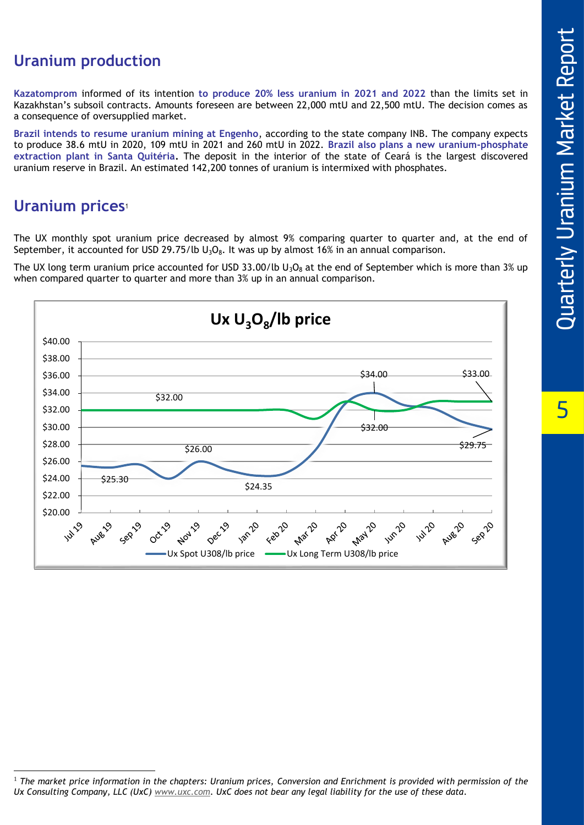5

# **Uranium production**

**Kazatomprom** informed of its intention **to produce 20% less uranium in 2021 and 2022** than the limits set in Kazakhstan 's subsoil contracts. Amounts foreseen are between 22,000 mtU and 22,500 mtU. The decision comes as a consequence of oversupplied market.

**Brazil intends to resume uranium mining at Engenho**, according to the state company INB. The company expects to produce 38.6 mtU in 2020, 109 mtU in 2021 and 260 mtU in 2022. **Brazil also plans a new uranium -phosphate extraction plant in Santa Quitéria.** The deposit in the interior of the state of Ceará is the largest discovered uranium reserve in Brazil. An estimated 142,200 tonnes of uranium is intermixed with phosphates.

## **Uranium prices** 1

The UX monthly spot uranium price decreased by almost 9% comparing quarter to quarter and, at the end of September, it accounted for USD 29.75/lb  $U_3O_8$ . It was up by almost 16% in an annual comparison.

The UX long term uranium price accounted for USD 33.00/lb U<sub>3</sub>O<sub>8</sub> at the end of September which is more than 3% up when compared quarter to quarter and more than 3% up in an annual comparison.



<sup>1</sup> *The market price information in the chapters: Uranium prices, Conversion and Enrichment is provided with permission of the Ux Consulting Company, LLC (UxC) [www.uxc.com](http://www.uxc.com/) . UxC does not bear any legal liability for the use of these data .*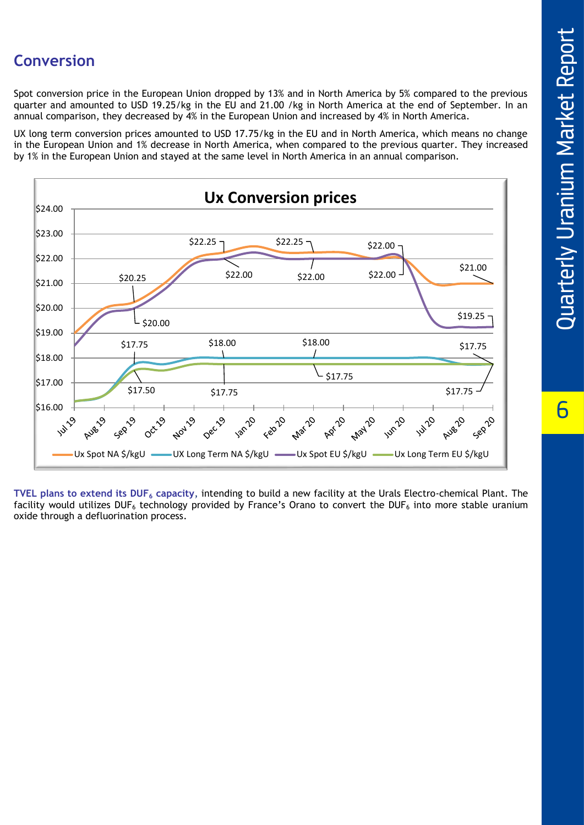## **Conversion**

Spot conversion price in the European Union dropped by 13% and in North America by 5% compared to the previous quarter and amounted to USD 19.25/kg in the EU and 21.00 /kg in North America at the end of September. In an annual comparison, they decreased by 4% in the European Union and increased by 4% in North America.

UX long term conversion prices amounted to USD 17.75/kg in the EU and in North America, which means no change in the European Union and 1% decrease in North America, when compared to the previous quarter. They increased by 1% in the European Union and stayed at the same level in North America in an annual comparison.



**TVEL plans to extend its DUF<sup>6</sup> capacity**, intending to build a new facility at the Urals Electro-chemical Plant. The facility would utilizes DUF<sub>6</sub> technology provided by France's Orano to convert the DUF<sub>6</sub> into more stable uranium oxide through a defluorination process.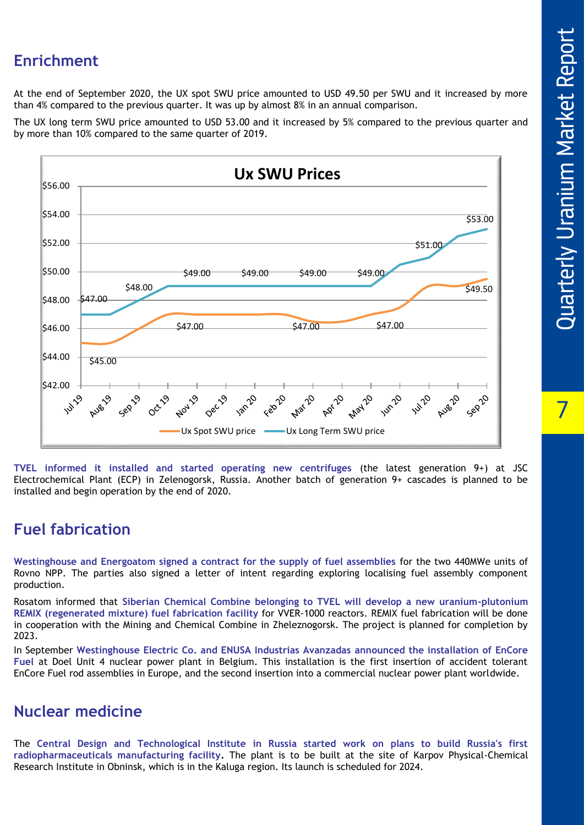## **Enrichment**

At the end of September 2020, the UX spot SWU price amounted to USD 49.50 per SWU and it increased by more than 4% compared to the previous quarter. It was up by almost 8% in an annual comparison.

The UX long term SWU price amounted to USD 53.00 and it increased by 5% compared to the previous quarter and by more than 10% compared to the same quarter of 2019.



**TVEL informed it installed and started operating new centrifuges** (the latest generation 9+) at JSC Electrochemical Plant (ECP) in Zelenogorsk, Russia. Another batch of generation 9+ cascades is planned to be installed and begin operation by the end of 2020.

## **Fuel fabrication**

**Westinghouse and Energoatom signed a contract for the supply of fuel assemblies** for the two 440MWe units of Rovno NPP. The parties also signed a letter of intent regarding exploring localising fuel assembly component production.

Rosatom informed that **Siberian Chemical Combine belonging to TVEL will develop a new uranium -plutonium REMIX (regenerated mixture) fuel fabrication facility** for VVER -1000 reactors. REMIX fuel fabrication will be done in cooperation with the Mining and Chemical Combine in Zheleznogorsk. The project is planned for completion by 2023.

In September **Westinghouse Electric Co. and ENUSA Industrias Avanzadas announced the installation of EnCore Fuel** at Doel Unit 4 nuclear power plant in Belgium. This installation is the first insertion of accident tolerant EnCore Fuel rod assemblies in Europe, and the second insertion into a commercial nuclear power plant worldwide.

## **Nuclear medicine**

The **Central Design and Technological Institute in Russia started work on plans to build Russia's first radiopharmaceuticals manufacturing facility .** The plant is to be built at the site of Karpov Physical -Chemical Research Institute in Obninsk, which is in the Kaluga region. Its launch is scheduled for 2024.